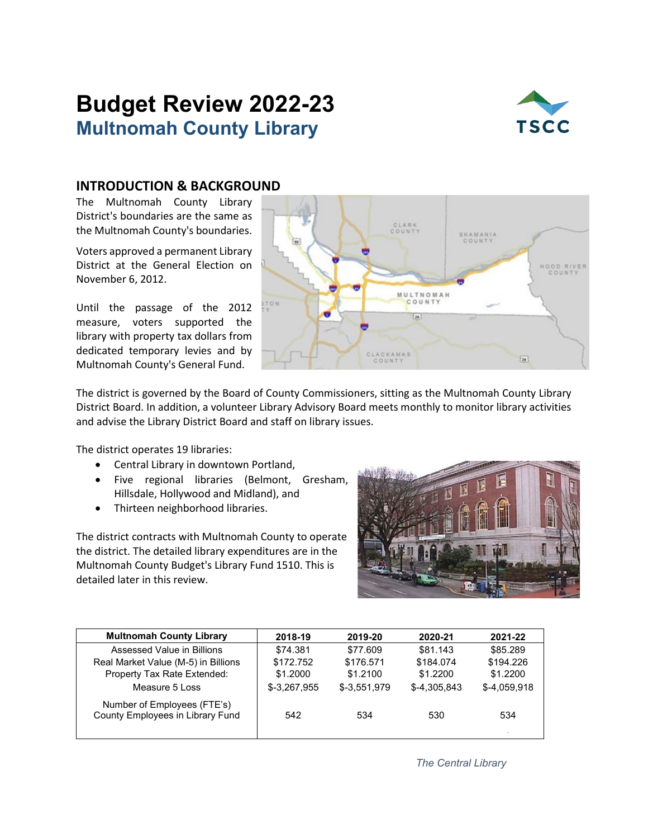# **Budget Review 2022-23 Multnomah County Library**



## **INTRODUCTION & BACKGROUND**

The Multnomah County Library District's boundaries are the same as the Multnomah County's boundaries.

Voters approved a permanent Library District at the General Election on November 6, 2012.

Until the passage of the 2012 measure, voters supported the library with property tax dollars from dedicated temporary levies and by Multnomah County's General Fund.



The district is governed by the Board of County Commissioners, sitting as the Multnomah County Library District Board. In addition, a volunteer Library Advisory Board meets monthly to monitor library activities and advise the Library District Board and staff on library issues.

The district operates 19 libraries:

- Central Library in downtown Portland,
- Five regional libraries (Belmont, Gresham, Hillsdale, Hollywood and Midland), and
- Thirteen neighborhood libraries.

The district contracts with Multnomah County to operate the district. The detailed library expenditures are in the Multnomah County Budget's Library Fund 1510. This is detailed later in this review.



| 2018-19       | 2019-20       | 2020-21      | 2021-22       |
|---------------|---------------|--------------|---------------|
| \$74.381      | \$77.609      | \$81.143     | \$85,289      |
| \$172.752     | \$176.571     | \$184.074    | \$194.226     |
| \$1,2000      | \$1,2100      | \$1.2200     | \$1,2200      |
| $$-3,267,955$ | $$-3.551.979$ | \$-4.305.843 | $$-4,059,918$ |
| 542           | 534           | 530          | 534           |
|               |               |              |               |

*The Central Library*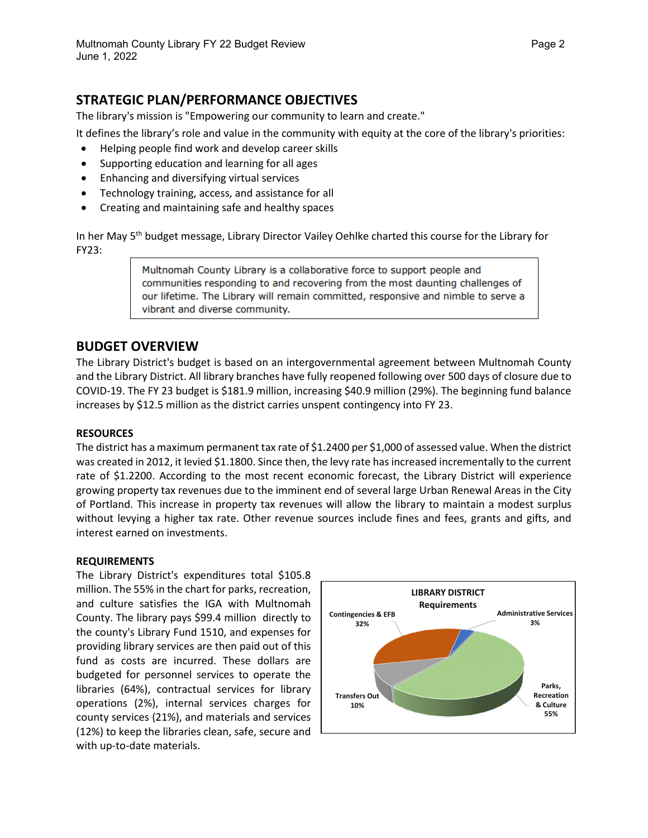# **STRATEGIC PLAN/PERFORMANCE OBJECTIVES**

The library's mission is "Empowering our community to learn and create."

It defines the library's role and value in the community with equity at the core of the library's priorities:

- Helping people find work and develop career skills
- Supporting education and learning for all ages
- Enhancing and diversifying virtual services
- Technology training, access, and assistance for all
- Creating and maintaining safe and healthy spaces

In her May 5<sup>th</sup> budget message, Library Director Vailey Oehlke charted this course for the Library for FY23:

> Multnomah County Library is a collaborative force to support people and communities responding to and recovering from the most daunting challenges of our lifetime. The Library will remain committed, responsive and nimble to serve a vibrant and diverse community.

## **BUDGET OVERVIEW**

The Library District's budget is based on an intergovernmental agreement between Multnomah County and the Library District. All library branches have fully reopened following over 500 days of closure due to COVID-19. The FY 23 budget is \$181.9 million, increasing \$40.9 million (29%). The beginning fund balance increases by \$12.5 million as the district carries unspent contingency into FY 23.

#### **RESOURCES**

The district has a maximum permanent tax rate of \$1.2400 per \$1,000 of assessed value. When the district was created in 2012, it levied \$1.1800. Since then, the levy rate has increased incrementally to the current rate of \$1.2200. According to the most recent economic forecast, the Library District will experience growing property tax revenues due to the imminent end of several large Urban Renewal Areas in the City of Portland. This increase in property tax revenues will allow the library to maintain a modest surplus without levying a higher tax rate. Other revenue sources include fines and fees, grants and gifts, and interest earned on investments.

#### **REQUIREMENTS**

The Library District's expenditures total \$105.8 million. The 55% in the chart for parks, recreation, and culture satisfies the IGA with Multnomah County. The library pays \$99.4 million directly to the county's Library Fund 1510, and expenses for providing library services are then paid out of this fund as costs are incurred. These dollars are budgeted for personnel services to operate the libraries (64%), contractual services for library operations (2%), internal services charges for county services (21%), and materials and services (12%) to keep the libraries clean, safe, secure and with up-to-date materials.

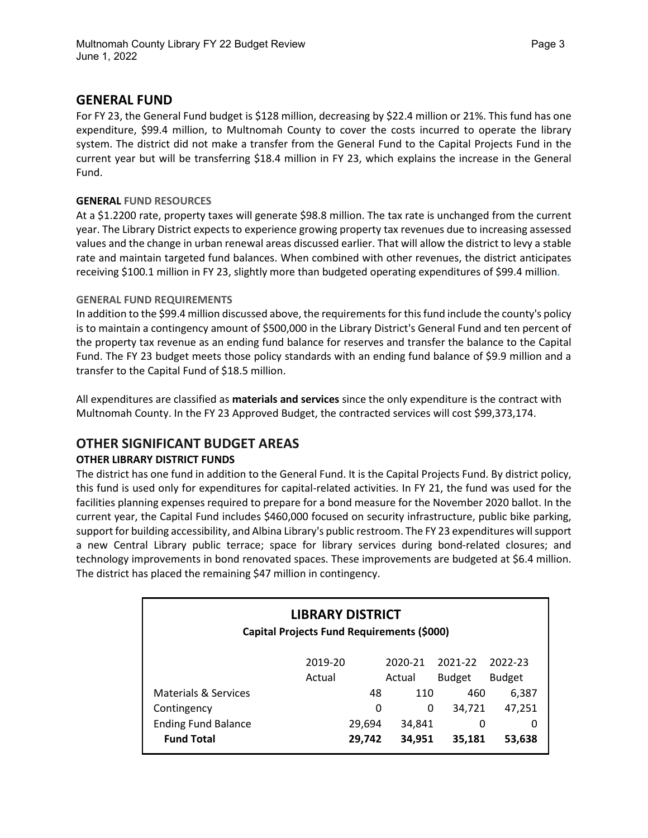### **GENERAL FUND**

For FY 23, the General Fund budget is \$128 million, decreasing by \$22.4 million or 21%. This fund has one expenditure, \$99.4 million, to Multnomah County to cover the costs incurred to operate the library system. The district did not make a transfer from the General Fund to the Capital Projects Fund in the current year but will be transferring \$18.4 million in FY 23, which explains the increase in the General Fund.

#### **GENERAL FUND RESOURCES**

At a \$1.2200 rate, property taxes will generate \$98.8 million. The tax rate is unchanged from the current year. The Library District expects to experience growing property tax revenues due to increasing assessed values and the change in urban renewal areas discussed earlier. That will allow the district to levy a stable rate and maintain targeted fund balances. When combined with other revenues, the district anticipates receiving \$100.1 million in FY 23, slightly more than budgeted operating expenditures of \$99.4 million.

#### **GENERAL FUND REQUIREMENTS**

In addition to the \$99.4 million discussed above, the requirements for this fund include the county's policy is to maintain a contingency amount of \$500,000 in the Library District's General Fund and ten percent of the property tax revenue as an ending fund balance for reserves and transfer the balance to the Capital Fund. The FY 23 budget meets those policy standards with an ending fund balance of \$9.9 million and a transfer to the Capital Fund of \$18.5 million.

All expenditures are classified as **materials and services** since the only expenditure is the contract with Multnomah County. In the FY 23 Approved Budget, the contracted services will cost \$99,373,174.

## **OTHER SIGNIFICANT BUDGET AREAS**

#### **OTHER LIBRARY DISTRICT FUNDS**

The district has one fund in addition to the General Fund. It is the Capital Projects Fund. By district policy, this fund is used only for expenditures for capital-related activities. In FY 21, the fund was used for the facilities planning expenses required to prepare for a bond measure for the November 2020 ballot. In the current year, the Capital Fund includes \$460,000 focused on security infrastructure, public bike parking, support for building accessibility, and Albina Library's public restroom. The FY 23 expenditures will support a new Central Library public terrace; space for library services during bond-related closures; and technology improvements in bond renovated spaces. These improvements are budgeted at \$6.4 million. The district has placed the remaining \$47 million in contingency.

| <b>LIBRARY DISTRICT</b><br>Capital Projects Fund Requirements (\$000) |                    |        |        |               |               |  |  |
|-----------------------------------------------------------------------|--------------------|--------|--------|---------------|---------------|--|--|
|                                                                       | 2019-20<br>2020-21 |        |        | 2021-22       | 2022-23       |  |  |
|                                                                       | Actual             |        | Actual | <b>Budget</b> | <b>Budget</b> |  |  |
| Materials & Services                                                  |                    | 48     | 110    | 460           | 6,387         |  |  |
| Contingency                                                           |                    | 0      | 0      | 34,721        | 47,251        |  |  |
| <b>Ending Fund Balance</b>                                            |                    | 29,694 | 34,841 | 0             | 0             |  |  |
| <b>Fund Total</b>                                                     |                    | 29,742 | 34,951 | 35,181        | 53,638        |  |  |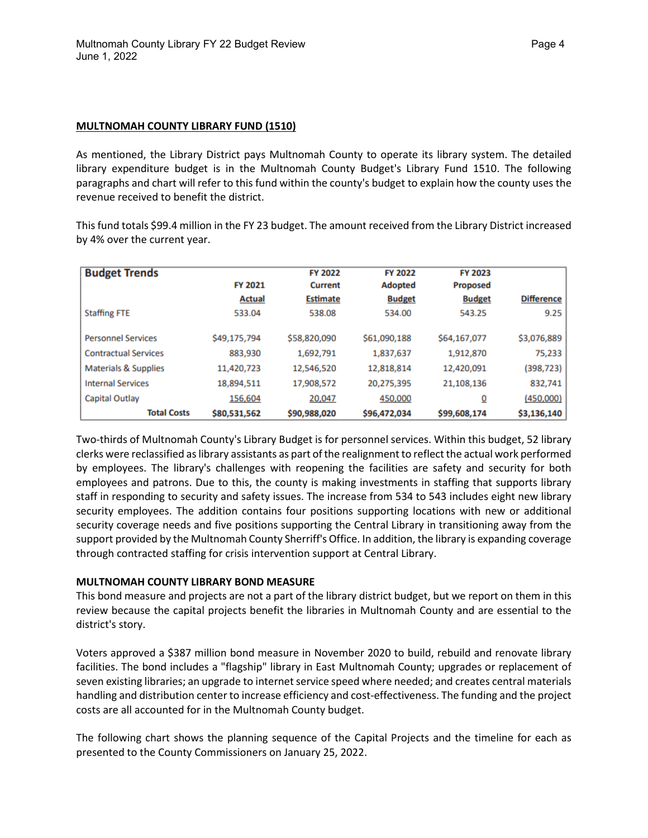#### **MULTNOMAH COUNTY LIBRARY FUND (1510)**

As mentioned, the Library District pays Multnomah County to operate its library system. The detailed library expenditure budget is in the Multnomah County Budget's Library Fund 1510. The following paragraphs and chart will refer to this fund within the county's budget to explain how the county uses the revenue received to benefit the district.

This fund totals \$99.4 million in the FY 23 budget. The amount received from the Library District increased by 4% over the current year.

| <b>Budget Trends</b>            |                | <b>FY 2022</b>  | <b>FY 2022</b> | FY 2023         |                   |
|---------------------------------|----------------|-----------------|----------------|-----------------|-------------------|
|                                 | <b>FY 2021</b> | <b>Current</b>  | <b>Adopted</b> | <b>Proposed</b> |                   |
|                                 | <b>Actual</b>  | <b>Estimate</b> | <b>Budget</b>  | <b>Budget</b>   | <b>Difference</b> |
| <b>Staffing FTE</b>             | 533.04         | 538.08          | 534.00         | 543.25          | 9.25              |
|                                 |                |                 |                |                 |                   |
| <b>Personnel Services</b>       | \$49,175,794   | \$58,820,090    | \$61,090,188   | \$64,167,077    | \$3,076,889       |
| <b>Contractual Services</b>     | 883,930        | 1,692,791       | 1,837,637      | 1,912,870       | 75,233            |
| <b>Materials &amp; Supplies</b> | 11,420,723     | 12,546,520      | 12,818,814     | 12,420,091      | (398, 723)        |
| <b>Internal Services</b>        | 18,894,511     | 17,908,572      | 20,275,395     | 21,108,136      | 832,741           |
| <b>Capital Outlay</b>           | 156,604        | 20,047          | 450,000        | Q               | (450,000)         |
| <b>Total Costs</b>              | \$80,531,562   | \$90,988,020    | \$96,472,034   | \$99,608,174    | \$3,136,140       |

Two-thirds of Multnomah County's Library Budget is for personnel services. Within this budget, 52 library clerks were reclassified aslibrary assistants as part of the realignment to reflect the actual work performed by employees. The library's challenges with reopening the facilities are safety and security for both employees and patrons. Due to this, the county is making investments in staffing that supports library staff in responding to security and safety issues. The increase from 534 to 543 includes eight new library security employees. The addition contains four positions supporting locations with new or additional security coverage needs and five positions supporting the Central Library in transitioning away from the support provided by the Multnomah County Sherriff's Office. In addition, the library is expanding coverage through contracted staffing for crisis intervention support at Central Library.

#### **MULTNOMAH COUNTY LIBRARY BOND MEASURE**

This bond measure and projects are not a part of the library district budget, but we report on them in this review because the capital projects benefit the libraries in Multnomah County and are essential to the district's story.

Voters approved a \$387 million bond measure in November 2020 to build, rebuild and renovate library facilities. The bond includes a "flagship" library in East Multnomah County; upgrades or replacement of seven existing libraries; an upgrade to internet service speed where needed; and creates central materials handling and distribution center to increase efficiency and cost-effectiveness. The funding and the project costs are all accounted for in the Multnomah County budget.

The following chart shows the planning sequence of the Capital Projects and the timeline for each as presented to the County Commissioners on January 25, 2022.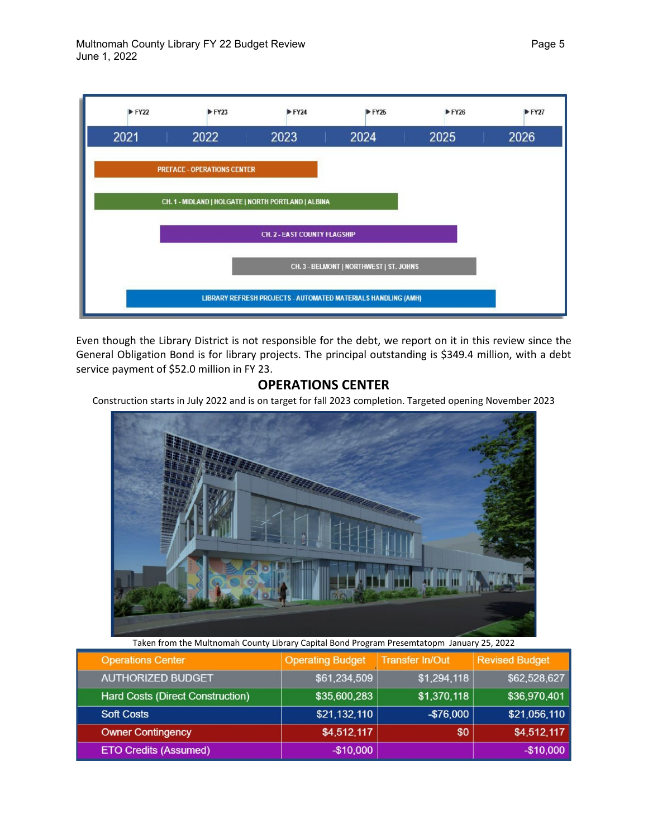

Even though the Library District is not responsible for the debt, we report on it in this review since the General Obligation Bond is for library projects. The principal outstanding is \$349.4 million, with a debt service payment of \$52.0 million in FY 23.

# **OPERATIONS CENTER**

Construction starts in July 2022 and is on target for fall 2023 completion. Targeted opening November 2023



Taken from the Multnomah County Library Capital Bond Program Presemtatopm January 25, 2022

| <b>Operations Center</b>         | <b>Operating Budget</b> | <b>Transfer In/Out</b> | <b>Revised Budget</b> |
|----------------------------------|-------------------------|------------------------|-----------------------|
| <b>AUTHORIZED BUDGET</b>         | \$61,234,509            | \$1,294,118            | \$62,528,627          |
| Hard Costs (Direct Construction) | \$35,600,283            | \$1,370,118            | \$36,970,401          |
| <b>Soft Costs</b>                | \$21,132,110            | $-$ \$76,000           | \$21,056,110          |
| <b>Owner Contingency</b>         | \$4,512,117             | \$0                    | \$4,512,117           |
| <b>ETO Credits (Assumed)</b>     | $-$10,000$              |                        | $-$10,000$            |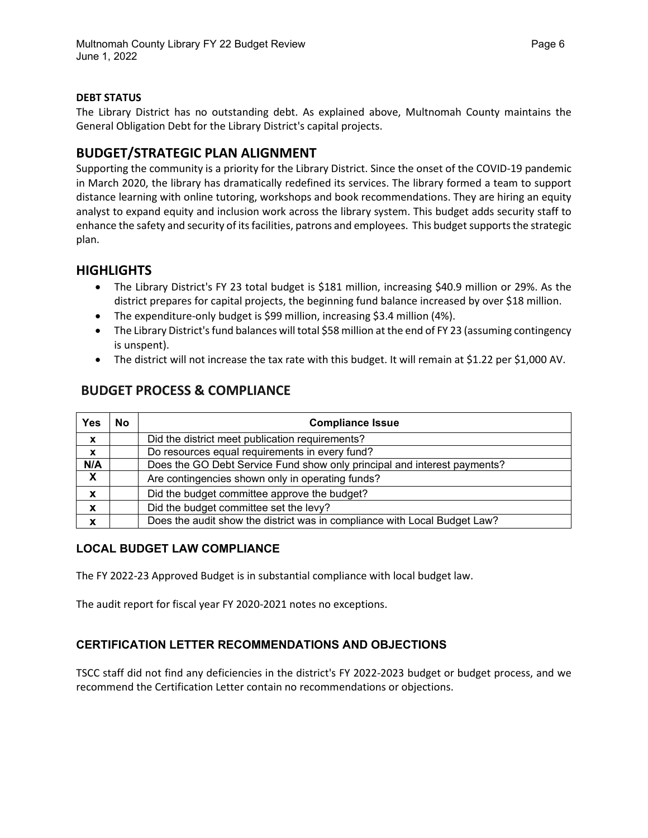#### **DEBT STATUS**

The Library District has no outstanding debt. As explained above, Multnomah County maintains the General Obligation Debt for the Library District's capital projects.

## **BUDGET/STRATEGIC PLAN ALIGNMENT**

Supporting the community is a priority for the Library District. Since the onset of the COVID-19 pandemic in March 2020, the library has dramatically redefined its services. The library formed a team to support distance learning with online tutoring, workshops and book recommendations. They are hiring an equity analyst to expand equity and inclusion work across the library system. This budget adds security staff to enhance the safety and security of its facilities, patrons and employees. This budget supports the strategic plan.

## **HIGHLIGHTS**

- The Library District's FY 23 total budget is \$181 million, increasing \$40.9 million or 29%. As the district prepares for capital projects, the beginning fund balance increased by over \$18 million.
- The expenditure-only budget is \$99 million, increasing \$3.4 million (4%).
- The Library District's fund balances will total \$58 million at the end of FY 23 (assuming contingency is unspent).
- The district will not increase the tax rate with this budget. It will remain at \$1.22 per \$1,000 AV.

| <b>Yes</b>       | <b>No</b> | <b>Compliance Issue</b>                                                   |
|------------------|-----------|---------------------------------------------------------------------------|
| $\boldsymbol{x}$ |           | Did the district meet publication requirements?                           |
| $\boldsymbol{x}$ |           | Do resources equal requirements in every fund?                            |
| N/A              |           | Does the GO Debt Service Fund show only principal and interest payments?  |
| X                |           | Are contingencies shown only in operating funds?                          |
| X                |           | Did the budget committee approve the budget?                              |
| X                |           | Did the budget committee set the levy?                                    |
| X                |           | Does the audit show the district was in compliance with Local Budget Law? |

# **BUDGET PROCESS & COMPLIANCE**

### **LOCAL BUDGET LAW COMPLIANCE**

The FY 2022-23 Approved Budget is in substantial compliance with local budget law.

The audit report for fiscal year FY 2020-2021 notes no exceptions.

### **CERTIFICATION LETTER RECOMMENDATIONS AND OBJECTIONS**

TSCC staff did not find any deficiencies in the district's FY 2022-2023 budget or budget process, and we recommend the Certification Letter contain no recommendations or objections.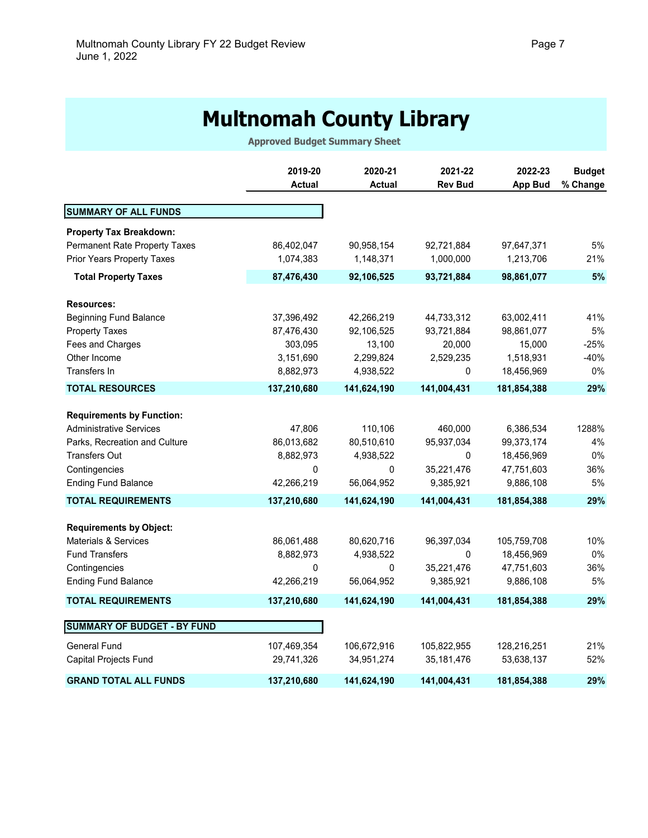# **Multnomah County Library**

**Approved Budget Summary Sheet**

|                                    | 2019-20<br><b>Actual</b> | 2020-21<br><b>Actual</b> | 2021-22<br><b>Rev Bud</b> | 2022-23<br><b>App Bud</b> | <b>Budget</b><br>% Change |
|------------------------------------|--------------------------|--------------------------|---------------------------|---------------------------|---------------------------|
| <b>SUMMARY OF ALL FUNDS</b>        |                          |                          |                           |                           |                           |
| <b>Property Tax Breakdown:</b>     |                          |                          |                           |                           |                           |
| Permanent Rate Property Taxes      | 86,402,047               | 90,958,154               | 92,721,884                | 97,647,371                | 5%                        |
| <b>Prior Years Property Taxes</b>  | 1,074,383                | 1,148,371                | 1,000,000                 | 1,213,706                 | 21%                       |
| <b>Total Property Taxes</b>        | 87,476,430               | 92,106,525               | 93,721,884                | 98,861,077                | 5%                        |
|                                    |                          |                          |                           |                           |                           |
| <b>Resources:</b>                  |                          |                          |                           |                           |                           |
| <b>Beginning Fund Balance</b>      | 37,396,492               | 42,266,219               | 44,733,312                | 63,002,411                | 41%                       |
| <b>Property Taxes</b>              | 87,476,430               | 92,106,525               | 93,721,884                | 98,861,077                | 5%                        |
| Fees and Charges                   | 303,095                  | 13,100                   | 20,000                    | 15,000                    | $-25%$                    |
| Other Income                       | 3,151,690                | 2,299,824                | 2,529,235                 | 1,518,931                 | $-40%$                    |
| Transfers In                       | 8,882,973                | 4,938,522                | 0                         | 18,456,969                | 0%                        |
| <b>TOTAL RESOURCES</b>             | 137,210,680              | 141,624,190              | 141,004,431               | 181,854,388               | 29%                       |
| <b>Requirements by Function:</b>   |                          |                          |                           |                           |                           |
| <b>Administrative Services</b>     | 47,806                   | 110,106                  | 460,000                   | 6,386,534                 | 1288%                     |
| Parks, Recreation and Culture      | 86,013,682               | 80,510,610               | 95,937,034                | 99,373,174                | 4%                        |
| <b>Transfers Out</b>               | 8,882,973                | 4,938,522                | $\mathbf{0}$              | 18,456,969                | 0%                        |
| Contingencies                      | 0                        | 0                        | 35,221,476                | 47,751,603                | 36%                       |
| <b>Ending Fund Balance</b>         | 42,266,219               | 56,064,952               | 9,385,921                 | 9,886,108                 | 5%                        |
| <b>TOTAL REQUIREMENTS</b>          | 137,210,680              | 141,624,190              | 141,004,431               | 181,854,388               | 29%                       |
|                                    |                          |                          |                           |                           |                           |
| <b>Requirements by Object:</b>     |                          |                          |                           |                           |                           |
| Materials & Services               | 86,061,488               | 80,620,716               | 96,397,034                | 105,759,708               | 10%                       |
| <b>Fund Transfers</b>              | 8,882,973                | 4,938,522                | 0                         | 18,456,969                | 0%                        |
| Contingencies                      | 0                        | 0                        | 35,221,476                | 47,751,603                | 36%                       |
| <b>Ending Fund Balance</b>         | 42,266,219               | 56,064,952               | 9,385,921                 | 9,886,108                 | 5%                        |
| <b>TOTAL REQUIREMENTS</b>          | 137,210,680              | 141,624,190              | 141,004,431               | 181,854,388               | 29%                       |
| <b>SUMMARY OF BUDGET - BY FUND</b> |                          |                          |                           |                           |                           |
|                                    |                          |                          |                           |                           |                           |
| <b>General Fund</b>                | 107,469,354              | 106,672,916              | 105,822,955               | 128,216,251               | 21%                       |
| Capital Projects Fund              | 29,741,326               | 34,951,274               | 35, 181, 476              | 53,638,137                | 52%                       |
| <b>GRAND TOTAL ALL FUNDS</b>       | 137,210,680              | 141,624,190              | 141,004,431               | 181,854,388               | 29%                       |